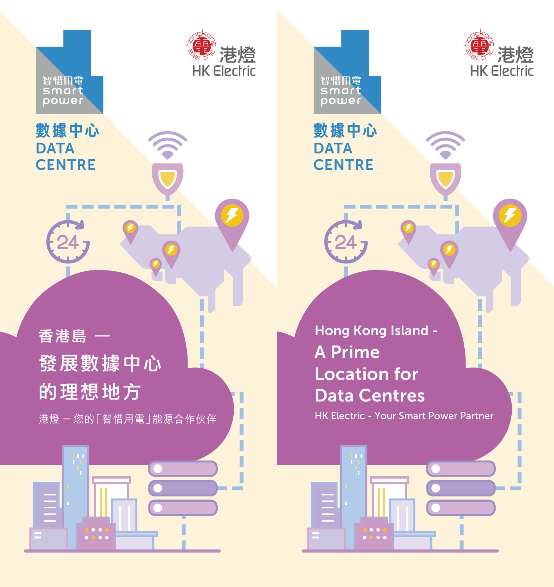

ľ Ī

智惜用電<br>SMart<br>power

## 數據中心 **DATA CENTRE**



ņ